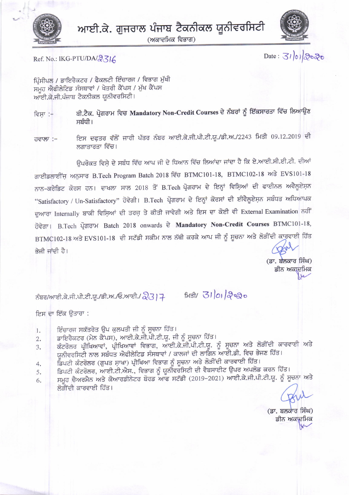

(ਅਕਾਦਮਿਕ ਵਿਭਾਗ)



Ref. No.: IKG-PTU/DA/2316

Date: 31/01/2020

ਪ੍ਰਿੰਸੀਪਲ / ਡਾਇਰੈਕਟਰ / ਫੈਕਲਟੀ ਇੰਚਾਰਜ / ਵਿਭਾਗ ਮੁੱਖੀ ਸਮੂਹ ਐਫੀਲੇਟਿਡ ਸੰਸਥਾਵਾਂ / ਖੇਤਰੀ ਕੈਂਪਸ / ਮੁੱਖ ਕੈਂਪਸ ਆਈ.ਕੇ.ਜੀ.ਪੰਜਾਬ ਟੈਕਨੀਕਲ ਯੂਨੀਵਰਸਿਟੀ।

ਬੀ.ਟੈਕ. ਪ੍ਰੋਗਰਾਮ ਵਿਚ Mandatory Non-Credit Courses ਦੇ ਨੰਬਰਾਂ ਨੂੰ ਇੱਕਸਾਰਤਾ ਵਿੱਚ ਲਿਆਉਣ ਵਿਸਾ :-ਸਬੰਧੀ।

ਇਸ ਦਫ਼ਤਰ ਵੱਲੋਂ ਜਾਰੀ ਪੱਤਰ ਨੰਬਰ ਆਈ.ਕੇ.ਜੀ.ਪੀ.ਟੀ.ਯੂ./ਡੀ.ਅ./2243 ਮਿਤੀ 09.12.2019 ਦੀ ਹਵਾਲਾ :-ਲਗਾਤਾਰਤਾ ਵਿੱਚ।

ਉਪਰੋਕਤ ਵਿਸ਼ੇ ਦੇ ਸਬੰਧ ਵਿੱਚ ਆਪ ਜੀ ਦੇ ਧਿਆਨ ਵਿੱਚ ਲਿਆਂਦਾ ਜਾਂਦਾ ਹੈ ਕਿ ਏ.ਆਈ.ਸੀ.ਈ.ਟੀ. ਦੀਆਂ ਗਾਈਡਲਾਈਂਜ਼ ਅਨੁਸਾਰ B.Tech Program Batch 2018 ਵਿੱਚ BTMC101-18, BTMC102-18 ਅਤੇ EVS101-18 ਨਾਨ-ਕਰੇਡਿਟ ਕੋਰਸ ਹਨ। ਦਾਖਲਾ ਸਾਲ 2018 ਤੋਂ B.Tech ਪ੍ਰੋਗਰਾਮ ਦੇ ਇਨ੍ਹਾਂ ਵਿਸ਼ਿਆਂ ਦੀ ਫਾਈਨਲ ਅਵੈਲੂਏਸ਼ਨ "Satisfactory / Un-Satisfactory" ਹੋਵੇਗੀ। B.Tech ਪ੍ਰੋਗਰਾਮ ਦੇ ਇਨ੍ਹਾਂ ਕੋਰਸਾਂ ਦੀ ਈਵੈਲੂਏਸ਼ਨ ਸਬੰਧਤ ਅਧਿਆਪਕ ਦੁਆਰਾ Internally ਬਾਕੀ ਵਿਸ਼ਿਆਂ ਦੀ ਤਰਜ਼ ਤੇ ਕੀਤੀ ਜਾਵੇਗੀ ਅਤੇ ਇਸ ਦਾ ਕੋਈ ਵੀ External Examination ਨਹੀਂ ਹੋਵੇਗਾ। B.Tech ਪ੍ਰੋਗਰਾਮ Batch 2018 onwards ਦੇ Mandatory Non-Credit Courses BTMC101-18, BTMC102-18 ਅਤੇ EVS101-18 ਦੀ ਸਟੱਡੀ ਸਕੀਮ ਨਾਲ ਨੱਥੀ ਕਰਕੇ ਆਪ ਜੀ ਨੂੰ ਸੂਚਨਾ ਅਤੇ ਲੋੜੀਂਦੀ ਕਾਰਵਾਈ ਹਿੱਤ ਭੇਜੀ ਜਾਂਦੀ ਹੈ।

> (ਡਾ. ਬਲਕਾਰ ਸਿੰਘ) ਡੀਨ ਅਕਾਦਮਿਕ

ਨੰਬਰ/ਆਈ.ਕੇ.ਜੀ.ਪੀ.ਟੀ.ਯੂ./ਡੀ.ਅ./ਓ.ਆਈ./ 23 | 7 ਸਿਤੀ/ 31 01 2 2 0

ਇਸ ਦਾ ਇੱਕ ਉਤਾਰਾ :

- ਇੰਚਾਰਜ ਸਕੱਤਰੇਤ ਉਪ ਕੁਲਪਤੀ ਜੀ ਨੂੰ ਸੂਚਨਾ ਹਿੱਤ। 1.
- ਡਾਇਰੈਕਟਰ (ਮੇਨ ਕੈਂਪਸ), ਆਈ.ਕੇ.ਜੀ.ਪੀ.ਟੀ.ਯੂ. ਜੀ ਨੂੰ ਸੂਚਨਾ ਹਿੱਤ।  $2.$
- ਕੰਟਰੋਲਰ ਪ੍ਰੀਖਿਆਵਾਂ, ਪ੍ਰੀਖਿਆਵਾਂ ਵਿਭਾਗ, ਆਈ.ਕੇ.ਜੀ.ਪੀ.ਟੀ.ਯੂ. ਨੂੰ ਸੂਚਨਾ ਅਤੇ ਲੋੜੀਂਦੀ ਕਾਰਵਾਈ ਅਤੇ 3. ਯੂਨੀਵਰਸਿਟੀ ਨਾਲ ਸਬੰਧਤ ਐਫੀਲੇਟਿਡ ਸੰਸਥਾਵਾਂ / ਕਾਲਜਾਂ ਦੀ ਲਾਗਿਨ ਆਈ.ਡੀ. ਵਿਚ ਭੇਜਣ ਹਿੱਤ।
- ਡਿਪਟੀ ਕੰਟਰੋਲਰ (ਗੁਪਤ ਸ਼ਾਖਾ) ਪ੍ਰੀਖਿਆ ਵਿਭਾਗ ਨੂੰ ਸੂਚਨਾ ਅਤੇ ਲੋੜੀਂਦੀ ਕਾਰਵਾਈ ਹਿੱਤ। 4.
- ਡਿਪਟੀ ਕੰਟਰੋਲਰ, ਆਈ.ਟੀ.ਐਸ., ਵਿਭਾਗ ਨੂੰ ਯੂਨੀਵਰਸਿਟੀ ਦੀ ਵੈਬਸਾਈਟ ਉਪਰ ਅਪਲੋਡ ਕਰਨ ਹਿੱਤ। 5.
- ਸਮੂਹ ਚੈਅਰਮੈਨ ਅਤੇ ਕੋਆਰਡੀਨੇਟਰ ਬੋਰਡ ਆਫ ਸਟੱਡੀ (2019-2021) ਆਈ.ਕੇ.ਜੀ.ਪੀ.ਟੀ.ਯੂ. ਨੂੰ ਸੂਚਨਾ ਅਤੇ 6. ਲੋਤੀਂਦੀ ਕਾਰਵਾਈ ਹਿੱਤ।

(ਡਾ. ਬਲਕਾਰ ਸਿੰਘ) ਡੀਨ ਅਕਾਦਮਿਕ